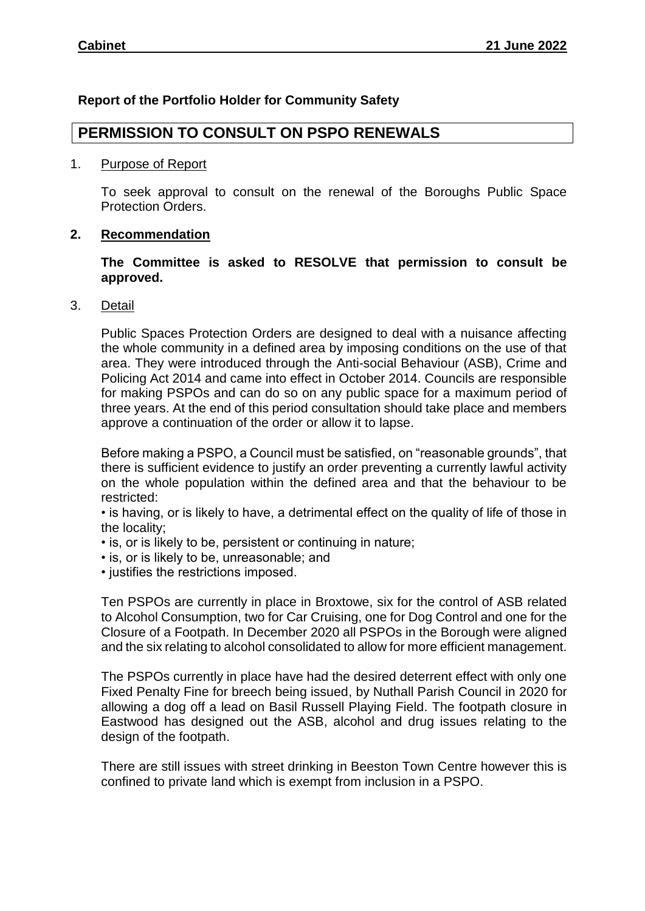## **Report of the Portfolio Holder for Community Safety**

## **PERMISSION TO CONSULT ON PSPO RENEWALS**

## 1. Purpose of Report

To seek approval to consult on the renewal of the Boroughs Public Space Protection Orders.

## **2. Recommendation**

**The Committee is asked to RESOLVE that permission to consult be approved.**

3. Detail

Public Spaces Protection Orders are designed to deal with a nuisance affecting the whole community in a defined area by imposing conditions on the use of that area. They were introduced through the Anti-social Behaviour (ASB), Crime and Policing Act 2014 and came into effect in October 2014. Councils are responsible for making PSPOs and can do so on any public space for a maximum period of three years. At the end of this period consultation should take place and members approve a continuation of the order or allow it to lapse.

Before making a PSPO, a Council must be satisfied, on "reasonable grounds", that there is sufficient evidence to justify an order preventing a currently lawful activity on the whole population within the defined area and that the behaviour to be restricted:

• is having, or is likely to have, a detrimental effect on the quality of life of those in the locality;

- is, or is likely to be, persistent or continuing in nature;
- is, or is likely to be, unreasonable; and
- justifies the restrictions imposed.

Ten PSPOs are currently in place in Broxtowe, six for the control of ASB related to Alcohol Consumption, two for Car Cruising, one for Dog Control and one for the Closure of a Footpath. In December 2020 all PSPOs in the Borough were aligned and the six relating to alcohol consolidated to allow for more efficient management.

The PSPOs currently in place have had the desired deterrent effect with only one Fixed Penalty Fine for breech being issued, by Nuthall Parish Council in 2020 for allowing a dog off a lead on Basil Russell Playing Field. The footpath closure in Eastwood has designed out the ASB, alcohol and drug issues relating to the design of the footpath.

There are still issues with street drinking in Beeston Town Centre however this is confined to private land which is exempt from inclusion in a PSPO.